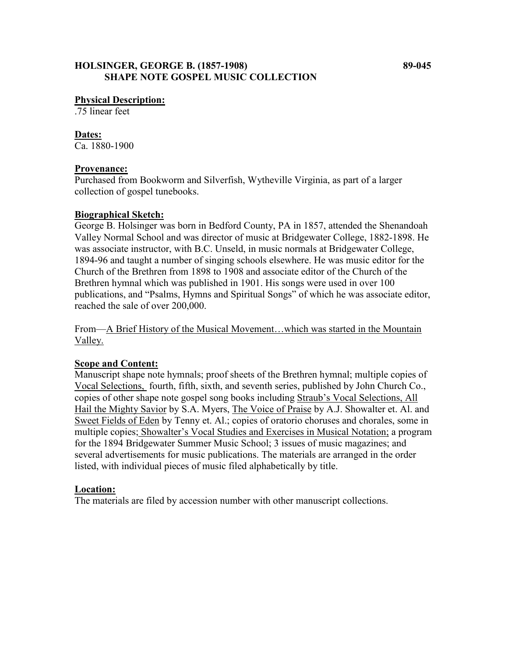## **HOLSINGER, GEORGE B. (1857-1908) 89-045 SHAPE NOTE GOSPEL MUSIC COLLECTION**

.75 linear feet

#### **Dates:**

Ca. 1880-1900

#### **Provenance:**

Purchased from Bookworm and Silverfish, Wytheville Virginia, as part of a larger collection of gospel tunebooks.

### **Biographical Sketch:**

George B. Holsinger was born in Bedford County, PA in 1857, attended the Shenandoah Valley Normal School and was director of music at Bridgewater College, 1882-1898. He was associate instructor, with B.C. Unseld, in music normals at Bridgewater College, 1894-96 and taught a number of singing schools elsewhere. He was music editor for the Church of the Brethren from 1898 to 1908 and associate editor of the Church of the Brethren hymnal which was published in 1901. His songs were used in over 100 publications, and "Psalms, Hymns and Spiritual Songs" of which he was associate editor, reached the sale of over 200,000.

From—A Brief History of the Musical Movement…which was started in the Mountain Valley.

## **Scope and Content:**

Manuscript shape note hymnals; proof sheets of the Brethren hymnal; multiple copies of Vocal Selections, fourth, fifth, sixth, and seventh series, published by John Church Co., copies of other shape note gospel song books including Straub's Vocal Selections, All Hail the Mighty Savior by S.A. Myers, The Voice of Praise by A.J. Showalter et. Al. and Sweet Fields of Eden by Tenny et. Al.; copies of oratorio choruses and chorales, some in multiple copies; Showalter's Vocal Studies and Exercises in Musical Notation; a program for the 1894 Bridgewater Summer Music School; 3 issues of music magazines; and several advertisements for music publications. The materials are arranged in the order listed, with individual pieces of music filed alphabetically by title.

### **Location:**

The materials are filed by accession number with other manuscript collections.